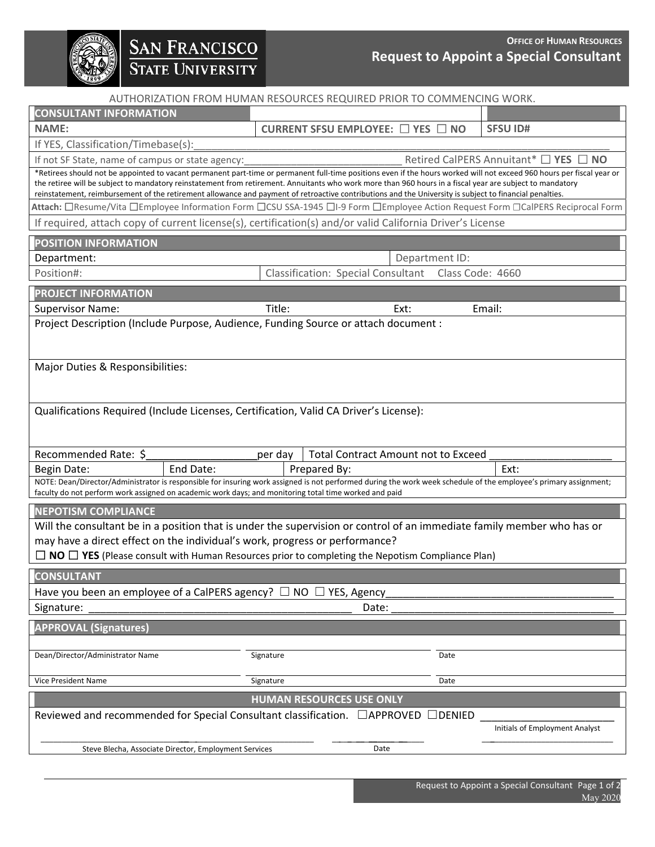

# SAN FRANCISCO<br>STATE UNIVERSITY

## **OFFICE OF HUMAN RESOURCES Request to Appoint a Special Consultant**

AUTHORIZATION FROM HUMAN RESOURCES REQUIRED PRIOR TO COMMENCING WORK.

| <b>CONSULTANT INFORMATION</b>                                                                                                                                                                                                                                                                                                                                                                                                                                                                  |                                                               |                                 |                                            |      |                                               |
|------------------------------------------------------------------------------------------------------------------------------------------------------------------------------------------------------------------------------------------------------------------------------------------------------------------------------------------------------------------------------------------------------------------------------------------------------------------------------------------------|---------------------------------------------------------------|---------------------------------|--------------------------------------------|------|-----------------------------------------------|
| <b>NAME:</b>                                                                                                                                                                                                                                                                                                                                                                                                                                                                                   |                                                               |                                 | CURRENT SFSU EMPLOYEE: □ YES □ NO          |      | <b>SFSU ID#</b>                               |
| If YES, Classification/Timebase(s):                                                                                                                                                                                                                                                                                                                                                                                                                                                            |                                                               |                                 |                                            |      |                                               |
| If not SF State, name of campus or state agency:                                                                                                                                                                                                                                                                                                                                                                                                                                               |                                                               |                                 |                                            |      | Retired CalPERS Annuitant* $\Box$ YES<br>⊿ NO |
| *Retirees should not be appointed to vacant permanent part-time or permanent full-time positions even if the hours worked will not exceed 960 hours per fiscal year or<br>the retiree will be subject to mandatory reinstatement from retirement. Annuitants who work more than 960 hours in a fiscal year are subject to mandatory<br>reinstatement, reimbursement of the retirement allowance and payment of retroactive contributions and the University is subject to financial penalties. |                                                               |                                 |                                            |      |                                               |
| Attach: □Resume/Vita □Employee Information Form □CSU SSA-1945 □I-9 Form □Employee Action Request Form □CalPERS Reciprocal Form                                                                                                                                                                                                                                                                                                                                                                 |                                                               |                                 |                                            |      |                                               |
| If required, attach copy of current license(s), certification(s) and/or valid California Driver's License                                                                                                                                                                                                                                                                                                                                                                                      |                                                               |                                 |                                            |      |                                               |
| <b>POSITION INFORMATION</b>                                                                                                                                                                                                                                                                                                                                                                                                                                                                    |                                                               |                                 |                                            |      |                                               |
| Department:                                                                                                                                                                                                                                                                                                                                                                                                                                                                                    | Department ID:                                                |                                 |                                            |      |                                               |
| Position#:                                                                                                                                                                                                                                                                                                                                                                                                                                                                                     | <b>Classification: Special Consultant</b><br>Class Code: 4660 |                                 |                                            |      |                                               |
| <b>PROJECT INFORMATION</b>                                                                                                                                                                                                                                                                                                                                                                                                                                                                     |                                                               |                                 |                                            |      |                                               |
| <b>Supervisor Name:</b>                                                                                                                                                                                                                                                                                                                                                                                                                                                                        | Title:                                                        |                                 | Ext:                                       |      | Email:                                        |
| Project Description (Include Purpose, Audience, Funding Source or attach document :                                                                                                                                                                                                                                                                                                                                                                                                            |                                                               |                                 |                                            |      |                                               |
|                                                                                                                                                                                                                                                                                                                                                                                                                                                                                                |                                                               |                                 |                                            |      |                                               |
|                                                                                                                                                                                                                                                                                                                                                                                                                                                                                                |                                                               |                                 |                                            |      |                                               |
| Major Duties & Responsibilities:                                                                                                                                                                                                                                                                                                                                                                                                                                                               |                                                               |                                 |                                            |      |                                               |
|                                                                                                                                                                                                                                                                                                                                                                                                                                                                                                |                                                               |                                 |                                            |      |                                               |
|                                                                                                                                                                                                                                                                                                                                                                                                                                                                                                |                                                               |                                 |                                            |      |                                               |
| Qualifications Required (Include Licenses, Certification, Valid CA Driver's License):                                                                                                                                                                                                                                                                                                                                                                                                          |                                                               |                                 |                                            |      |                                               |
|                                                                                                                                                                                                                                                                                                                                                                                                                                                                                                |                                                               |                                 |                                            |      |                                               |
| Recommended Rate: \$                                                                                                                                                                                                                                                                                                                                                                                                                                                                           | per day                                                       |                                 | <b>Total Contract Amount not to Exceed</b> |      |                                               |
| End Date:<br>Begin Date:                                                                                                                                                                                                                                                                                                                                                                                                                                                                       |                                                               | Prepared By:                    |                                            |      | Ext:                                          |
| NOTE: Dean/Director/Administrator is responsible for insuring work assigned is not performed during the work week schedule of the employee's primary assignment;                                                                                                                                                                                                                                                                                                                               |                                                               |                                 |                                            |      |                                               |
| faculty do not perform work assigned on academic work days; and monitoring total time worked and paid                                                                                                                                                                                                                                                                                                                                                                                          |                                                               |                                 |                                            |      |                                               |
| <b>NEPOTISM COMPLIANCE</b>                                                                                                                                                                                                                                                                                                                                                                                                                                                                     |                                                               |                                 |                                            |      |                                               |
| Will the consultant be in a position that is under the supervision or control of an immediate family member who has or                                                                                                                                                                                                                                                                                                                                                                         |                                                               |                                 |                                            |      |                                               |
| may have a direct effect on the individual's work, progress or performance?                                                                                                                                                                                                                                                                                                                                                                                                                    |                                                               |                                 |                                            |      |                                               |
| $\Box$ NO $\Box$ YES (Please consult with Human Resources prior to completing the Nepotism Compliance Plan)                                                                                                                                                                                                                                                                                                                                                                                    |                                                               |                                 |                                            |      |                                               |
| <b>CONSULTANT</b>                                                                                                                                                                                                                                                                                                                                                                                                                                                                              |                                                               |                                 |                                            |      |                                               |
| Have you been an employee of a CalPERS agency? $\Box$ NO $\Box$ YES, Agency                                                                                                                                                                                                                                                                                                                                                                                                                    |                                                               |                                 |                                            |      |                                               |
| Signature:                                                                                                                                                                                                                                                                                                                                                                                                                                                                                     |                                                               |                                 | Date:                                      |      |                                               |
| <b>APPROVAL (Signatures)</b>                                                                                                                                                                                                                                                                                                                                                                                                                                                                   |                                                               |                                 |                                            |      |                                               |
|                                                                                                                                                                                                                                                                                                                                                                                                                                                                                                |                                                               |                                 |                                            |      |                                               |
| Dean/Director/Administrator Name                                                                                                                                                                                                                                                                                                                                                                                                                                                               | Signature                                                     |                                 |                                            | Date |                                               |
| Vice President Name                                                                                                                                                                                                                                                                                                                                                                                                                                                                            | Signature                                                     |                                 |                                            | Date |                                               |
|                                                                                                                                                                                                                                                                                                                                                                                                                                                                                                |                                                               | <b>HUMAN RESOURCES USE ONLY</b> |                                            |      |                                               |
| Reviewed and recommended for Special Consultant classification. □ APPROVED<br>$\Box$ denied                                                                                                                                                                                                                                                                                                                                                                                                    |                                                               |                                 |                                            |      |                                               |
| Initials of Employment Analyst                                                                                                                                                                                                                                                                                                                                                                                                                                                                 |                                                               |                                 |                                            |      |                                               |
|                                                                                                                                                                                                                                                                                                                                                                                                                                                                                                |                                                               |                                 |                                            |      |                                               |
| Steve Blecha, Associate Director, Employment Services                                                                                                                                                                                                                                                                                                                                                                                                                                          |                                                               |                                 | Date                                       |      |                                               |